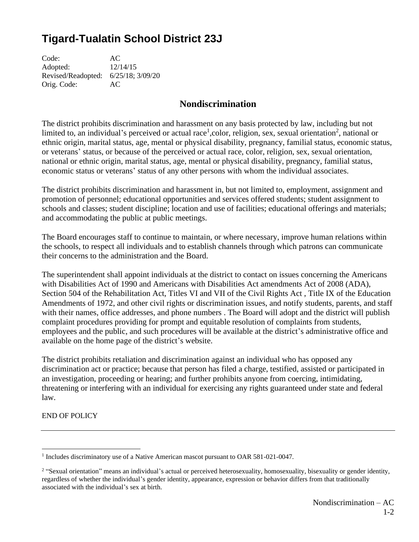## **Tigard-Tualatin School District 23J**

Code: AC Adopted: 12/14/15 Revised/Readopted: 6/25/18; 3/09/20 Orig. Code: AC

## **Nondiscrimination**

The district prohibits discrimination and harassment on any basis protected by law, including but not limited to, an individual's perceived or actual race<sup>1</sup>, color, religion, sex, sexual orientation<sup>2</sup>, national or ethnic origin, marital status, age, mental or physical disability, pregnancy, familial status, economic status, or veterans' status, or because of the perceived or actual race, color, religion, sex, sexual orientation, national or ethnic origin, marital status, age, mental or physical disability, pregnancy, familial status, economic status or veterans' status of any other persons with whom the individual associates.

The district prohibits discrimination and harassment in, but not limited to, employment, assignment and promotion of personnel; educational opportunities and services offered students; student assignment to schools and classes; student discipline; location and use of facilities; educational offerings and materials; and accommodating the public at public meetings.

The Board encourages staff to continue to maintain, or where necessary, improve human relations within the schools, to respect all individuals and to establish channels through which patrons can communicate their concerns to the administration and the Board.

The superintendent shall appoint individuals at the district to contact on issues concerning the Americans with Disabilities Act of 1990 and Americans with Disabilities Act amendments Act of 2008 (ADA), Section 504 of the Rehabilitation Act, Titles VI and VII of the Civil Rights Act , Title IX of the Education Amendments of 1972, and other civil rights or discrimination issues, and notify students, parents, and staff with their names, office addresses, and phone numbers. The Board will adopt and the district will publish complaint procedures providing for prompt and equitable resolution of complaints from students, employees and the public, and such procedures will be available at the district's administrative office and available on the home page of the district's website.

The district prohibits retaliation and discrimination against an individual who has opposed any discrimination act or practice; because that person has filed a charge, testified, assisted or participated in an investigation, proceeding or hearing; and further prohibits anyone from coercing, intimidating, threatening or interfering with an individual for exercising any rights guaranteed under state and federal law.

END OF POLICY

<sup>&</sup>lt;sup>1</sup> Includes discriminatory use of a Native American mascot pursuant to OAR 581-021-0047.

<sup>&</sup>lt;sup>2</sup> "Sexual orientation" means an individual's actual or perceived heterosexuality, homosexuality, bisexuality or gender identity, regardless of whether the individual's gender identity, appearance, expression or behavior differs from that traditionally associated with the individual's sex at birth.